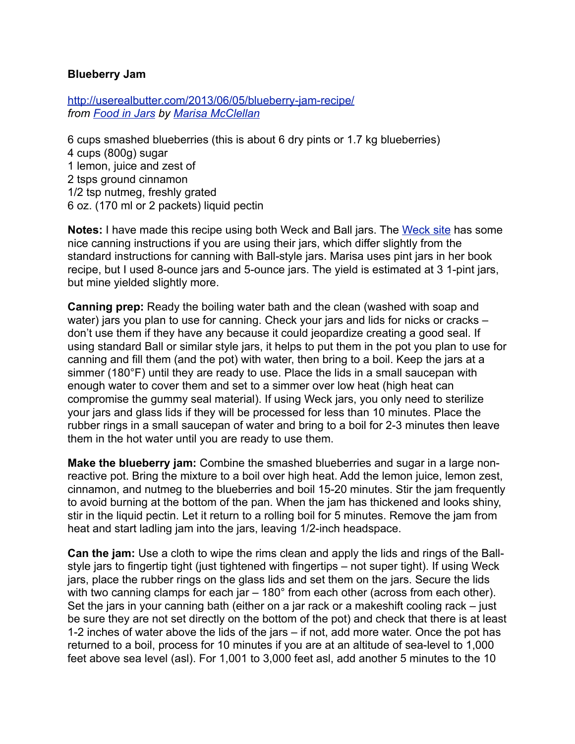## **Blueberry Jam**

<http://userealbutter.com/2013/06/05/blueberry-jam-recipe/> *from [Food in Jars](http://www.amazon.com/Food-Jars-Preserving-Year-Round-ebook/dp/B007ZDDGS8/) by [Marisa McClellan](http://foodinjars.com/)*

6 cups smashed blueberries (this is about 6 dry pints or 1.7 kg blueberries) 4 cups (800g) sugar 1 lemon, juice and zest of 2 tsps ground cinnamon 1/2 tsp nutmeg, freshly grated 6 oz. (170 ml or 2 packets) liquid pectin

**Notes:** I have made this recipe using both Weck and Ball jars. The [Weck site](http://weckjars.com/canningnotes.php) has some nice canning instructions if you are using their jars, which differ slightly from the standard instructions for canning with Ball-style jars. Marisa uses pint jars in her book recipe, but I used 8-ounce jars and 5-ounce jars. The yield is estimated at 3 1-pint jars, but mine yielded slightly more.

**Canning prep:** Ready the boiling water bath and the clean (washed with soap and water) jars you plan to use for canning. Check your jars and lids for nicks or cracks don't use them if they have any because it could jeopardize creating a good seal. If using standard Ball or similar style jars, it helps to put them in the pot you plan to use for canning and fill them (and the pot) with water, then bring to a boil. Keep the jars at a simmer (180°F) until they are ready to use. Place the lids in a small saucepan with enough water to cover them and set to a simmer over low heat (high heat can compromise the gummy seal material). If using Weck jars, you only need to sterilize your jars and glass lids if they will be processed for less than 10 minutes. Place the rubber rings in a small saucepan of water and bring to a boil for 2-3 minutes then leave them in the hot water until you are ready to use them.

**Make the blueberry jam:** Combine the smashed blueberries and sugar in a large nonreactive pot. Bring the mixture to a boil over high heat. Add the lemon juice, lemon zest, cinnamon, and nutmeg to the blueberries and boil 15-20 minutes. Stir the jam frequently to avoid burning at the bottom of the pan. When the jam has thickened and looks shiny, stir in the liquid pectin. Let it return to a rolling boil for 5 minutes. Remove the jam from heat and start ladling jam into the jars, leaving 1/2-inch headspace.

**Can the jam:** Use a cloth to wipe the rims clean and apply the lids and rings of the Ballstyle jars to fingertip tight (just tightened with fingertips – not super tight). If using Weck jars, place the rubber rings on the glass lids and set them on the jars. Secure the lids with two canning clamps for each jar – 180° from each other (across from each other). Set the jars in your canning bath (either on a jar rack or a makeshift cooling rack – just be sure they are not set directly on the bottom of the pot) and check that there is at least 1-2 inches of water above the lids of the jars – if not, add more water. Once the pot has returned to a boil, process for 10 minutes if you are at an altitude of sea-level to 1,000 feet above sea level (asl). For 1,001 to 3,000 feet asl, add another 5 minutes to the 10